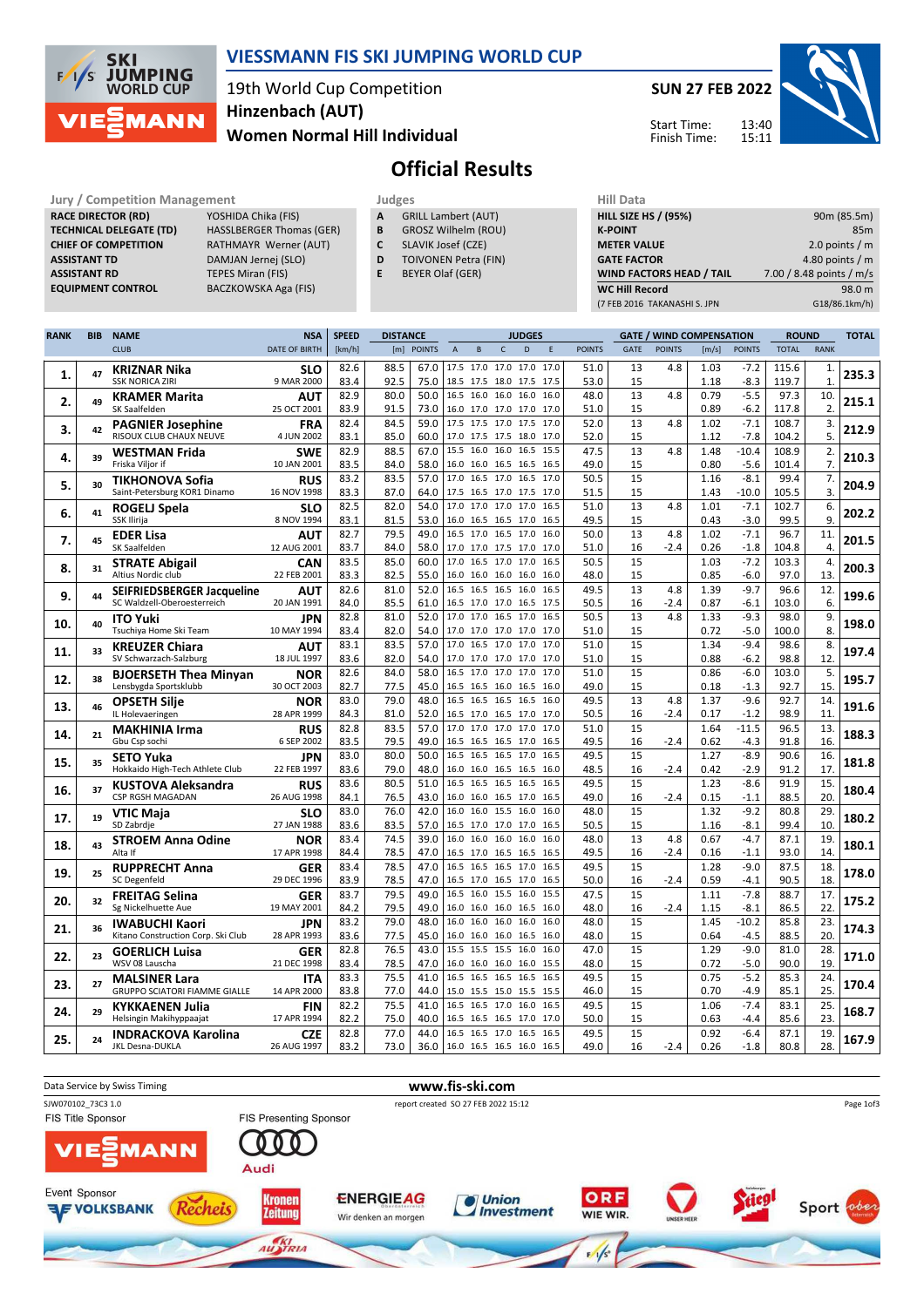

#### VIESSMANN FIS SKI JUMPING WORLD CUP

#### 19th World Cup Competition Women Normal Hill Individual Hinzenbach (AUT)



Start Time: Finish Time:

# Official Results

Jury / Competition Management **Judges** Judges Hill Data<br> **RACE DIRECTOR (RD)** YOSHIDA Chika (FIS) **A** GRILL Lambert (AUT) **HILL SIZE F** RACE DIRECTOR (RD) **TECHNICAL DELEGATE (TD)** HASSLBERGER Thomas (GER)<br>**CHIEF OF COMPETITION** RATHMAYR Werner (AUT) ASSISTANT TD DAMJAN Jernej (SLO) **ASSISTANT RD** TEPES Miran (FIS)<br> **EQUIPMENT CONTROL** BACZKOWSKA Aga

RATHMAYR Werner (AUT) BACZKOWSKA Aga (FIS)

- A GRILL Lambert (AUT)
- **B** GROSZ Wilhelm (ROU)<br>**C** SLAVIK Josef (CZE)
- SLAVIK Josef (CZE) D TOIVONEN Petra (FIN)
- E BEYER Olaf (GER)

| <b>HILL SIZE HS / (95%)</b>     | 90m (85.5m)              |
|---------------------------------|--------------------------|
| <b>K-POINT</b>                  | 85 <sub>m</sub>          |
| <b>METER VALUE</b>              | 2.0 points $/m$          |
| <b>GATE FACTOR</b>              | 4.80 points $/m$         |
| <b>WIND FACTORS HEAD / TAIL</b> | 7.00 / 8.48 points / m/s |
| <b>WC Hill Record</b>           | 98.0 m                   |
| (7 FEB 2016 TAKANASHI S. JPN    | G18/86.1km/h)            |
|                                 |                          |

| <b>RANK</b> | <b>BIB</b> | <b>NAME</b>                                                  | <b>NSA</b>                | <b>SPEED</b><br><b>DISTANCE</b> |              |               |                | <b>JUDGES</b>  |                                       |      |              |               |             | <b>GATE / WIND COMPENSATION</b> |              |                  | <b>ROUND</b>  |                |       |
|-------------|------------|--------------------------------------------------------------|---------------------------|---------------------------------|--------------|---------------|----------------|----------------|---------------------------------------|------|--------------|---------------|-------------|---------------------------------|--------------|------------------|---------------|----------------|-------|
|             |            | <b>CLUB</b>                                                  | <b>DATE OF BIRTH</b>      | [km/h]                          | [m]          | <b>POINTS</b> | $\overline{A}$ | B              | $\mathsf{C}$                          | D    | F            | <b>POINTS</b> | <b>GATE</b> | <b>POINTS</b>                   | [m/s]        | <b>POINTS</b>    | <b>TOTAL</b>  | <b>RANK</b>    |       |
|             |            | KRIZNAR Nika                                                 | SLO                       | 82.6                            | 88.5         | 67.0          |                |                | 17.5 17.0 17.0 17.0                   |      | 17.0         | 51.0          | 13          | 4.8                             | 1.03         | $-7.2$           | 115.6         | 1.             |       |
| 1.          | 47         | <b>SSK NORICA ZIRI</b>                                       | 9 MAR 2000                | 83.4                            | 92.5         | 75.0          |                |                | 18.5 17.5 18.0 17.5                   |      | 17.5         | 53.0          | 15          |                                 | 1.18         | $-8.3$           | 119.7         | $\mathbf{1}$   | 235.3 |
| 2.          | 49         | <b>KRAMER Marita</b>                                         | AUT                       | 82.9                            | 80.0         | 50.0          | 16.5           |                | 16.0 16.0 16.0                        |      | 16.0         | 48.0          | 13          | 4.8                             | 0.79         | $-5.5$           | 97.3          | 10.            | 215.1 |
|             |            | SK Saalfelden                                                | 25 OCT 2001               | 83.9                            | 91.5         | 73.0          |                |                | 16.0 17.0 17.0 17.0 17.0              |      |              | 51.0          | 15          |                                 | 0.89         | $-6.2$           | 117.8         | $\overline{2}$ |       |
| 3.          | 42         | <b>PAGNIER Josephine</b>                                     | <b>FRA</b>                | 82.4                            | 84.5         | 59.0          |                |                | 17.5 17.5 17.0 17.5                   |      | 17.0         | 52.0          | 13          | 4.8                             | 1.02         | $-7.1$           | 108.7         | 3.             | 212.9 |
|             |            | RISOUX CLUB CHAUX NEUVE                                      | 4 JUN 2002                | 83.1                            | 85.0         | 60.0          |                |                | 17.0 17.5 17.5 18.0 17.0              |      |              | 52.0          | 15          |                                 | 1.12         | $-7.8$           | 104.2         | 5.             |       |
| 4.          | 39         | <b>WESTMAN Frida</b>                                         | <b>SWE</b>                | 82.9                            | 88.5         | 67.0          | 15.5           | 16.0           | 16.0 16.5                             |      | 15.5         | 47.5          | 13          | 4.8                             | 1.48         | $-10.4$          | 108.9         | 2.             | 210.3 |
|             |            | Friska Viljor if                                             | 10 JAN 2001               | 83.5<br>83.2                    | 84.0<br>83.5 | 58.0<br>57.0  | 17.0           |                | 16.0 16.0 16.5 16.5<br>16.5 17.0 16.5 |      | 16.5<br>17.0 | 49.0<br>50.5  | 15<br>15    |                                 | 0.80<br>1.16 | $-5.6$<br>$-8.1$ | 101.4<br>99.4 | 7.<br>7.       |       |
| 5.          | 30         | TIKHONOVA Sofia<br>Saint-Petersburg KOR1 Dinamo              | <b>RUS</b><br>16 NOV 1998 | 83.3                            | 87.0         | 64.0          |                |                | 17.5 16.5 17.0 17.5                   |      | 17.0         | 51.5          | 15          |                                 | 1.43         | $-10.0$          | 105.5         | 3.             | 204.9 |
|             |            | ROGELJ Spela                                                 | SLO                       | 82.5                            | 82.0         | 54.0          |                |                | 17.0 17.0 17.0 17.0                   |      | 16.5         | 51.0          | 13          | 4.8                             | 1.01         | $-7.1$           | 102.7         | 6.             |       |
| 6.          | 41         | SSK Ilirija                                                  | 8 NOV 1994                | 83.1                            | 81.5         | 53.0          |                |                | 16.0 16.5 16.5 17.0                   |      | 16.5         | 49.5          | 15          |                                 | 0.43         | $-3.0$           | 99.5          | 9.             | 202.2 |
|             |            | <b>EDER Lisa</b>                                             | AUT                       | 82.7                            | 79.5         | 49.0          |                | 16.5 17.0      | 16.5 17.0                             |      | 16.0         | 50.0          | 13          | 4.8                             | 1.02         | $-7.1$           | 96.7          | 11             |       |
| 7.          | 45         | SK Saalfelden                                                | 12 AUG 2001               | 83.7                            | 84.0         | 58.0          |                |                | 17.0 17.0 17.5 17.0                   |      | 17.0         | 51.0          | 16          | $-2.4$                          | 0.26         | $-1.8$           | 104.8         | 4.             | 201.5 |
| 8.          | 31         | <b>STRATE Abigail</b>                                        | <b>CAN</b>                | 83.5                            | 85.0         | 60.0          |                |                | 17.0 16.5 17.0 17.0                   |      | 16.5         | 50.5          | 15          |                                 | 1.03         | $-7.2$           | 103.3         | 4.             | 200.3 |
|             |            | Altius Nordic club                                           | 22 FEB 2001               | 83.3                            | 82.5         | 55.0          |                |                | 16.0 16.0 16.0 16.0                   |      | 16.0         | 48.0          | 15          |                                 | 0.85         | $-6.0$           | 97.0          | 13             |       |
| 9.          | 44         | SEIFRIEDSBERGER Jacqueline                                   | <b>AUT</b>                | 82.6                            | 81.0         | 52.0          |                |                | 16.5 16.5 16.5 16.0                   |      | 16.5         | 49.5          | 13          | 4.8                             | 1.39         | $-9.7$           | 96.6          | 12.            | 199.6 |
|             |            | SC Waldzell-Oberoesterreich                                  | 20 JAN 1991               | 84.0                            | 85.5         | 61.0          |                |                | 16.5 17.0 17.0 16.5                   |      | 17.5         | 50.5          | 16          | $-2.4$                          | 0.87         | $-6.1$           | 103.0         | 6.             |       |
| 10.         | 40         | <b>ITO Yuki</b>                                              | JPN                       | 82.8                            | 81.0         | 52.0          |                |                | 17.0 17.0 16.5 17.0                   |      | 16.5         | 50.5          | 13          | 4.8                             | 1.33         | $-9.3$           | 98.0          | 9.             | 198.0 |
|             |            | Tsuchiya Home Ski Team                                       | 10 MAY 1994               | 83.4                            | 82.0         | 54.0          |                |                | 17.0 17.0 17.0 17.0 17.0              |      |              | 51.0          | 15          |                                 | 0.72         | $-5.0$           | 100.0         | 8              |       |
| 11.         | 33         | <b>KREUZER Chiara</b><br>SV Schwarzach-Salzburg              | AUT<br>18 JUL 1997        | 83.1<br>83.6                    | 83.5<br>82.0 | 57.0<br>54.0  | 17.0           |                | 16.5 17.0 17.0<br>17.0 17.0 17.0 17.0 |      | 17.0<br>17.0 | 51.0<br>51.0  | 15<br>15    |                                 | 1.34<br>0.88 | $-9.4$<br>$-6.2$ | 98.6<br>98.8  | 8.<br>12       | 197.4 |
|             |            |                                                              |                           | 82.6                            | 84.0         | 58.0          |                |                | 16.5 17.0 17.0 17.0                   |      | 17.0         | 51.0          | 15          |                                 | 0.86         | $-6.0$           | 103.0         | 5.             |       |
| 12.         | 38         | <b>BJOERSETH Thea Minyan</b><br>Lensbygda Sportsklubb        | <b>NOR</b><br>30 OCT 2003 | 82.7                            | 77.5         | 45.0          |                |                | 16.5 16.5 16.0 16.5                   |      | 16.0         | 49.0          | 15          |                                 | 0.18         | $-1.3$           | 92.7          | 15             | 195.7 |
|             |            | <b>OPSETH Silje</b>                                          | <b>NOR</b>                | 83.0                            | 79.0         | 48.0          |                |                | 16.5 16.5 16.5 16.5                   |      | 16.0         | 49.5          | 13          | 4.8                             | 1.37         | $-9.6$           | 92.7          | 14.            |       |
| 13.         | 46         | IL Holevaeringen                                             | 28 APR 1999               | 84.3                            | 81.0         | 52.0          |                |                | 16.5 17.0 16.5 17.0                   |      | 17.0         | 50.5          | 16          | $-2.4$                          | 0.17         | $-1.2$           | 98.9          | 11             | 191.6 |
|             | 21         | <b>MAKHINIA Irma</b>                                         | <b>RUS</b>                | 82.8                            | 83.5         | 57.0          |                |                | 17.0 17.0 17.0 17.0                   |      | 17.0         | 51.0          | 15          |                                 | 1.64         | $-11.5$          | 96.5          | 13.            |       |
| 14.         |            | Gbu Csp sochi                                                | 6 SEP 2002                | 83.5                            | 79.5         | 49.0          |                |                | 16.5 16.5 16.5 17.0                   |      | 16.5         | 49.5          | 16          | $-2.4$                          | 0.62         | $-4.3$           | 91.8          | 16             | 188.3 |
| 15.         | 35         | <b>SETO Yuka</b>                                             | JPN                       | 83.0                            | 80.0         | 50.0          |                |                | 16.5 16.5 16.5 17.0                   |      | 16.5         | 49.5          | 15          |                                 | 1.27         | $-8.9$           | 90.6          | 16.            | 181.8 |
|             |            | Hokkaido High-Tech Athlete Club                              | 22 FEB 1997               | 83.6                            | 79.0         | 48.0          |                |                | 16.0 16.0 16.5 16.5                   |      | 16.0         | 48.5          | 16          | -2.4                            | 0.42         | $-2.9$           | 91.2          | 17             |       |
| 16.         | 37         | <b>KUSTOVA Aleksandra</b>                                    | <b>RUS</b>                | 83.6                            | 80.5         | 51.0          | 16.5           |                | 16.5 16.5 16.5                        |      | 16.5         | 49.5          | 15          |                                 | 1.23         | $-8.6$           | 91.9          | 15.            | 180.4 |
|             |            | CSP RGSH MAGADAN                                             | 26 AUG 1998               | 84.1                            | 76.5         | 43.0          | 16.0           |                | 16.0 16.0 16.5 17.0 16.5              |      |              | 49.0          | 16          | $-2.4$                          | 0.15         | $-1.1$           | 88.5          | 20             |       |
| 17.         | 19         | VTIC Maja<br>SD Zabrdie                                      | sLO<br>27 JAN 1988        | 83.0<br>83.6                    | 76.0<br>83.5 | 42.0<br>57.0  |                | 16.0           | 15.5 16.0<br>16.5 17.0 17.0 17.0      |      | 16.0<br>16.5 | 48.0<br>50.5  | 15<br>15    |                                 | 1.32<br>1.16 | $-9.2$<br>$-8.1$ | 80.8<br>99.4  | 29<br>10       | 180.2 |
|             |            | <b>STROEM Anna Odine</b>                                     | <b>NOR</b>                | 83.4                            | 74.5         | 39.0          | 16.0           |                | 16.0 16.0 16.0                        |      | 16.0         | 48.0          | 13          | 4.8                             | 0.67         | $-4.7$           | 87.1          | 19             |       |
| 18.         | 43         | Alta If                                                      | 17 APR 1998               | 84.4                            | 78.5         | 47.0          |                |                | 16.5 17.0 16.5 16.5                   |      | 16.5         | 49.5          | 16          | $-2.4$                          | 0.16         | $-1.1$           | 93.0          | 14.            | 180.1 |
|             |            | <b>RUPPRECHT Anna</b>                                        | <b>GER</b>                | 83.4                            | 78.5         | 47.0          |                |                | 16.5 16.5 16.5 17.0                   |      | 16.5         | 49.5          | 15          |                                 | 1.28         | $-9.0$           | 87.5          | 18.            |       |
| 19.         | 25         | SC Degenfeld                                                 | 29 DEC 1996               | 83.9                            | 78.5         | 47.0          |                |                | 16.5 17.0 16.5 17.0                   |      | 16.5         | 50.0          | 16          | $-2.4$                          | 0.59         | $-4.1$           | 90.5          | 18             | 178.0 |
| 20.         | 32         | <b>FREITAG Selina</b>                                        | <b>GER</b>                | 83.7                            | 79.5         | 49.0          |                | 16.5 16.0 15.5 |                                       | 16.0 | 15.5         | 47.5          | 15          |                                 | 1.11         | $-7.8$           | 88.7          | 17.            | 175.2 |
|             |            | Sg Nickelhuette Aue                                          | 19 MAY 2001               | 84.2                            | 79.5         | 49.0          |                | 16.0 16.0      | 16.0 16.5                             |      | 16.0         | 48.0          | 16          | $-2.4$                          | 1.15         | $-8.1$           | 86.5          | 22             |       |
| 21.         | 36         | <b>IWABUCHI Kaori</b>                                        | JPN                       | 83.2                            | 79.0         | 48.0          | 16.0           | 16.0           | 16.0                                  | 16.0 | 16.0         | 48.0          | 15          |                                 | 1.45         | $-10.2$          | 85.8          | 23             | 174.3 |
|             |            | Kitano Construction Corp. Ski Club                           | 28 APR 1993               | 83.6                            | 77.5         | 45.0          | 16.0           |                | 16.0 16.0 16.5                        |      | 16.0         | 48.0          | 15          |                                 | 0.64         | $-4.5$           | 88.5          | 20             |       |
| 22.         | 23         | <b>GOERLICH Luisa</b>                                        | <b>GER</b>                | 82.8                            | 76.5         | 43.0          |                |                | 15.5 15.5 15.5 16.0                   |      | 16.0         | 47.0          | 15          |                                 | 1.29         | $-9.0$           | 81.0          | 28             | 171.0 |
|             |            | WSV 08 Lauscha                                               | 21 DEC 1998               | 83.4                            | 78.5<br>75.5 | 47.0          | 16.5           |                | 16.0 16.0 16.0 16.0<br>16.5 16.5 16.5 |      | 15.5<br>16.5 | 48.0<br>49.5  | 15          |                                 | 0.72         | $-5.0$<br>$-5.2$ | 90.0<br>85.3  | 19             |       |
| 23.         | 27         | <b>MALSINER Lara</b><br><b>GRUPPO SCIATORI FIAMME GIALLE</b> | ITA<br>14 APR 2000        | 83.3<br>83.8                    | 77.0         | 41.0<br>44.0  |                |                | 15.0 15.5 15.0 15.5 15.5              |      |              | 46.0          | 15<br>15    |                                 | 0.75<br>0.70 | $-4.9$           | 85.1          | 24<br>25       | 170.4 |
|             |            | <b>KYKKAENEN Julia</b>                                       | FIN                       | 82.2                            | 75.5         | 41.0          | 16.5           |                | 16.5 17.0 16.0                        |      | 16.5         | 49.5          | 15          |                                 | 1.06         | $-7.4$           | 83.1          | 25.            |       |
| 24.         | 29         | Helsingin Makihyppaajat                                      | 17 APR 1994               | 82.2                            | 75.0         | 40.0          |                |                | 16.5 16.5 16.5 17.0                   |      | 17.0         | 50.0          | 15          |                                 | 0.63         | $-4.4$           | 85.6          | 23             | 168.7 |
|             |            | <b>INDRACKOVA Karolina</b>                                   | <b>CZE</b>                | 82.8                            | 77.0         | 44.0          |                |                | 16.5 16.5 17.0 16.5                   |      | 16.5         | 49.5          | 15          |                                 | 0.92         | $-6.4$           | 87.1          | 19.            |       |
| 25.         | 24         | JKL Desna-DUKLA                                              | 26 AUG 1997               | 83.2                            | 73.0         | 36.0          |                |                | 16.0 16.5 16.5 16.0                   |      | 16.5         | 49.0          | 16          | $-2.4$                          | 0.26         | $-1.8$           | 80.8          | 28.            | 167.9 |

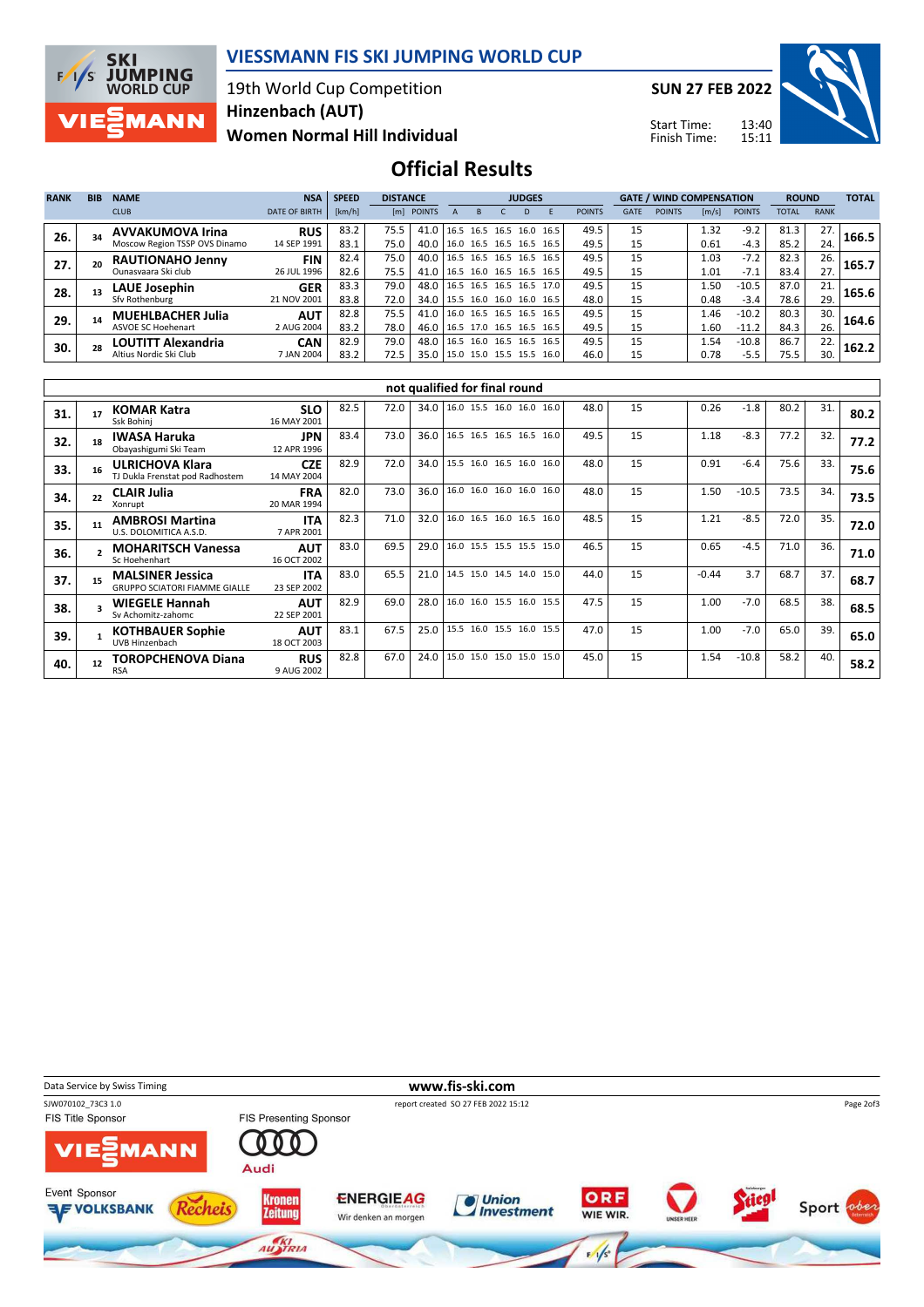

#### VIESSMANN FIS SKI JUMPING WORLD CUP

#### 19th World Cup Competition Women Normal Hill Individual Hinzenbach (AUT)

SUN 27 FEB 2022



Start Time: Finish Time:

## Official Results

| <b>RANK</b> | <b>BIB</b> | <b>NAME</b>                   | <b>NSA</b>           | <b>SPEED</b> | <b>DISTANCE</b> |                                 |  | <b>JUDGES</b>            |      |           |      |               |             | <b>GATE / WIND COMPENSATION</b> |       |               | <b>ROUND</b> |             | <b>TOTAL</b> |
|-------------|------------|-------------------------------|----------------------|--------------|-----------------|---------------------------------|--|--------------------------|------|-----------|------|---------------|-------------|---------------------------------|-------|---------------|--------------|-------------|--------------|
|             |            | <b>CLUB</b>                   | <b>DATE OF BIRTH</b> | [km/h]       |                 | [m] POINTS                      |  |                          |      |           |      | <b>POINTS</b> | <b>GATE</b> | <b>POINTS</b>                   | [m/s] | <b>POINTS</b> | <b>TOTAL</b> | <b>RANK</b> |              |
| 26.         |            | <b>AVVAKUMOVA Irina</b>       | <b>RUS</b>           | 83.2         | 75.5 I          | 41.0   16.5 16.5                |  |                          | 16.5 | 16.0 16.5 |      | 49.5          | 15          |                                 | 1.32  | $-9.2$        | 81.3         | 27.         | 166.5        |
|             |            | Moscow Region TSSP OVS Dinamo | 14 SEP 1991          | 83.1         | 75.0            | 40.0                            |  | 16.0 16.5 16.5 16.5      |      |           | 16.5 | 49.5          | 15          |                                 | 0.61  | $-4.3$        | 85.2         | 24.         |              |
| 27.         |            | <b>RAUTIONAHO Jenny</b>       | <b>FIN</b>           | 82.4         | 75.0            | 40.0                            |  | 16.5 16.5                | 16.5 | 16.5      | 16.5 | 49.5          | 15          |                                 | 1.03  | $-7.2$        | 82.3         | 26.         | 165.7        |
|             |            | Ounasyaara Ski club           | 26 JUL 1996          | 82.6         | 75.5            | 41.0                            |  | 16.5 16.0 16.5 16.5 16.5 |      |           |      | 49.5          | 15          |                                 | 1.01  | $-7.1$        | 83.4         | 27.         |              |
| 28.         |            | LAUE Josephin                 | <b>GER</b>           | 83.3         | 79.0            | 48.0                            |  | 16.5 16.5 16.5 16.5 17.0 |      |           |      | 49.5          | 15          |                                 | 1.50  | $-10.5$       | 87.0         | 21.         | 165.6        |
|             |            | Sfy Rothenburg                | 21 NOV 2001          | 83.8         | 72.0            | 34.0   15.5 16.0 16.0 16.0 16.5 |  |                          |      |           |      | 48.0          | 15          |                                 | 0.48  | $-3.4$        | 78.6         | 29.         |              |
| 29.         |            | <b>MUEHLBACHER Julia</b>      | <b>AUT</b>           | 82.8         | 75.5            | 41.0   16.0 16.5 16.5 16.5 16.5 |  |                          |      |           |      | 49.5          | 15          |                                 | 1.46  | $-10.2$       | 80.3         | 30.         | 164.6        |
|             |            | <b>ASVOE SC Hoehenart</b>     | 2 AUG 2004           | 83.2         | 78.0            | 46.0                            |  | 16.5 17.0 16.5 16.5      |      |           | 16.5 | 49.5          | 15          |                                 | 1.60  | $-11.2$       | 84.3         | 26.         |              |
| 30.         |            | LOUTITT Alexandria            | <b>CAN</b>           | 82.9         | 79.0            | 48.0                            |  | 16.5 16.0 16.5 16.5 16.5 |      |           |      | 49.5          | 15          |                                 | 1.54  | $-10.8$       | 86.7         | 22.         | 162.2        |
|             |            | Altius Nordic Ski Club        | 7 JAN 2004           | 83.2         | 72.5            | 35.0                            |  | 15.0 15.0 15.5 15.5 16.0 |      |           |      | 46.0          | 15          |                                 | 0.78  | $-5.5$        | 75.5         | 30.         |              |

|     | not qualified for final round |                                                                 |                           |      |      |      |                          |  |      |      |    |         |         |      |     |      |
|-----|-------------------------------|-----------------------------------------------------------------|---------------------------|------|------|------|--------------------------|--|------|------|----|---------|---------|------|-----|------|
| 31. | 17                            | <b>KOMAR Katra</b><br>Ssk Bohini                                | <b>SLO</b><br>16 MAY 2001 | 82.5 | 72.0 | 34.0 | 16.0 15.5 16.0 16.0 16.0 |  |      | 48.0 | 15 | 0.26    | $-1.8$  | 80.2 | 31. | 80.2 |
| 32. | 18                            | <b>IWASA Haruka</b><br>Obayashigumi Ski Team                    | <b>JPN</b><br>12 APR 1996 | 83.4 | 73.0 | 36.0 | 16.5 16.5 16.5 16.5 16.0 |  |      | 49.5 | 15 | 1.18    | $-8.3$  | 77.2 | 32. | 77.2 |
| 33. |                               | <b>ULRICHOVA Klara</b><br>TJ Dukla Frenstat pod Radhostem       | <b>CZE</b><br>14 MAY 2004 | 82.9 | 72.0 | 34.0 | 15.5 16.0 16.5 16.0      |  | 16.0 | 48.0 | 15 | 0.91    | $-6.4$  | 75.6 | 33. | 75.6 |
| 34. | 22                            | <b>CLAIR Julia</b><br>Xonrupt                                   | <b>FRA</b><br>20 MAR 1994 | 82.0 | 73.0 | 36.0 | 16.0 16.0 16.0 16.0 16.0 |  |      | 48.0 | 15 | 1.50    | $-10.5$ | 73.5 | 34. | 73.5 |
| 35. | 11                            | <b>AMBROSI Martina</b><br>U.S. DOLOMITICA A.S.D.                | <b>ITA</b><br>7 APR 2001  | 82.3 | 71.0 | 32.0 | 16.0 16.5 16.0 16.5 16.0 |  |      | 48.5 | 15 | 1.21    | $-8.5$  | 72.0 | 35. | 72.0 |
| 36. |                               | <b>MOHARITSCH Vanessa</b><br>Sc Hoehenhart                      | <b>AUT</b><br>16 OCT 2002 | 83.0 | 69.5 | 29.0 | 16.0 15.5 15.5 15.5 15.0 |  |      | 46.5 | 15 | 0.65    | $-4.5$  | 71.0 | 36. | 71.0 |
| 37. | 15                            | <b>MALSINER Jessica</b><br><b>GRUPPO SCIATORI FIAMME GIALLE</b> | <b>ITA</b><br>23 SEP 2002 | 83.0 | 65.5 | 21.0 | 14.5 15.0 14.5 14.0 15.0 |  |      | 44.0 | 15 | $-0.44$ | 3.7     | 68.7 | 37. | 68.7 |
| 38. |                               | <b>WIEGELE Hannah</b><br>Sy Achomitz-zahomc                     | <b>AUT</b><br>22 SEP 2001 | 82.9 | 69.0 | 28.0 | 16.0 16.0 15.5 16.0 15.5 |  |      | 47.5 | 15 | 1.00    | $-7.0$  | 68.5 | 38. | 68.5 |
| 39. |                               | <b>KOTHBAUER Sophie</b><br><b>UVB Hinzenbach</b>                | <b>AUT</b><br>18 OCT 2003 | 83.1 | 67.5 | 25.0 | 15.5 16.0 15.5 16.0 15.5 |  |      | 47.0 | 15 | 1.00    | $-7.0$  | 65.0 | 39. | 65.0 |
| 40. | 12                            | TOROPCHENOVA Diana<br><b>RSA</b>                                | <b>RUS</b><br>9 AUG 2002  | 82.8 | 67.0 | 24.0 | 15.0 15.0 15.0 15.0 15.0 |  |      | 45.0 | 15 | 1.54    | $-10.8$ | 58.2 | 40. | 58.2 |